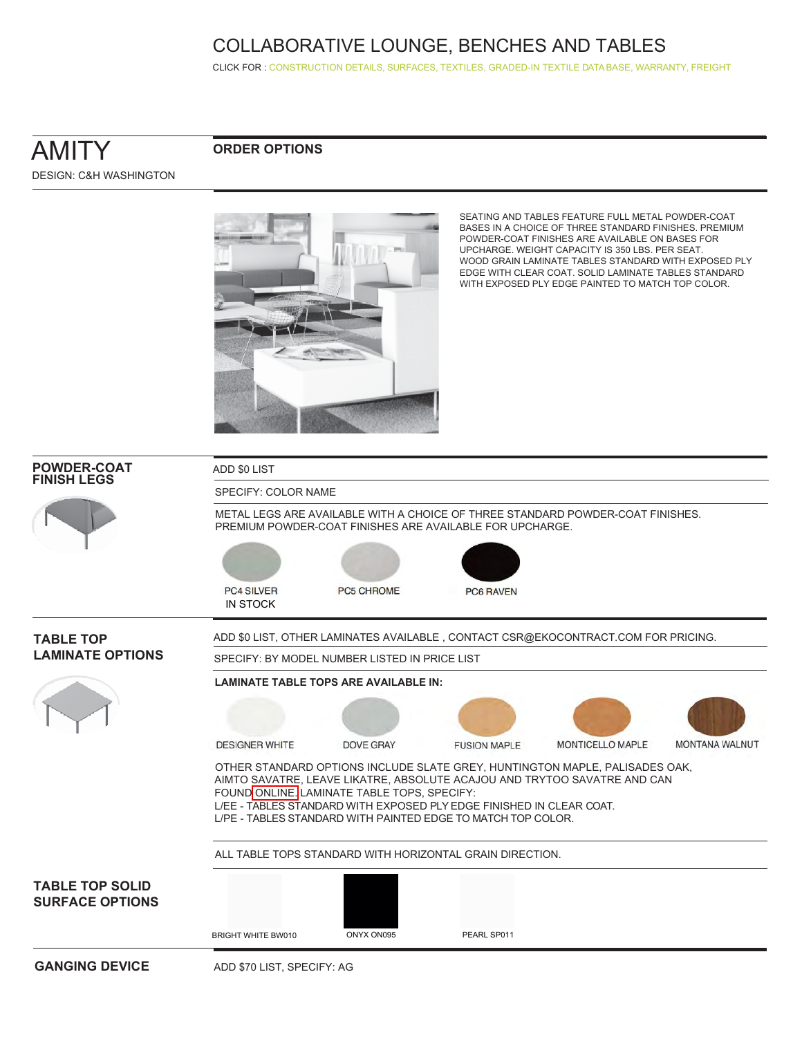CLICK FOR [: CONSTRUCTION DETAILS,](http://www.ekocontract.com/collaborative-seating/amity-collaborative) [SURFACES,](http://www.ekocontract.com/surfaces) [TEXTILES,](http://www.ekocontract.com/fabrics) [GRADED-IN TEXTILE DATA BASE,](http://www.ekocontract.com/resources/surface-materials/surface-materials-database) [WARRANTY, FREIGHT](http://www.ekocontract.com/files/resources/2015_EKO_Terms__Conditions.pdf)

## AMITY DESIGN: C&H WASHINGTON

#### **ORDER OPTIONS**





SEATING AND TABLES FEATURE FULL METAL POWDER-COAT BASES IN A CHOICE OF THREE STANDARD FINISHES. PREMIUM POWDER-COAT FINISHES ARE AVAILABLE ON BASES FOR UPCHARGE. WEIGHT CAPACITY IS 350 LBS. PER SEAT. WOOD GRAIN LAMINATE TABLES STANDARD WITH EXPOSED PLY EDGE WITH CLEAR COAT. SOLID LAMINATE TABLES STANDARD WITH EXPOSED PLY EDGE PAINTED TO MATCH TOP COLOR.

| <b>POWDER-COAT</b><br><b>FINISH LEGS</b>         | ADD \$0 LIST                         |                                               |                                                                                                                                      |                                                                                                                                                         |                |
|--------------------------------------------------|--------------------------------------|-----------------------------------------------|--------------------------------------------------------------------------------------------------------------------------------------|---------------------------------------------------------------------------------------------------------------------------------------------------------|----------------|
|                                                  | SPECIFY: COLOR NAME                  |                                               |                                                                                                                                      |                                                                                                                                                         |                |
|                                                  |                                      |                                               | PREMIUM POWDER-COAT FINISHES ARE AVAILABLE FOR UPCHARGE.                                                                             | METAL LEGS ARE AVAILABLE WITH A CHOICE OF THREE STANDARD POWDER-COAT FINISHES.                                                                          |                |
|                                                  |                                      |                                               |                                                                                                                                      |                                                                                                                                                         |                |
|                                                  | <b>PC4 SILVER</b><br><b>IN STOCK</b> | <b>PC5 CHROME</b>                             | <b>PC6 RAVEN</b>                                                                                                                     |                                                                                                                                                         |                |
| <b>TABLE TOP</b>                                 |                                      |                                               |                                                                                                                                      | ADD \$0 LIST, OTHER LAMINATES AVAILABLE, CONTACT CSR@EKOCONTRACT.COM FOR PRICING.                                                                       |                |
| <b>LAMINATE OPTIONS</b>                          |                                      | SPECIFY: BY MODEL NUMBER LISTED IN PRICE LIST |                                                                                                                                      |                                                                                                                                                         |                |
|                                                  |                                      | <b>LAMINATE TABLE TOPS ARE AVAILABLE IN:</b>  |                                                                                                                                      |                                                                                                                                                         |                |
|                                                  | <b>DESIGNER WHITE</b>                | <b>DOVE GRAY</b>                              | <b>FUSION MAPLE</b>                                                                                                                  | MONTICELLO MAPLE                                                                                                                                        | MONTANA WALNUT |
|                                                  |                                      | FOUND ONLINE. LAMINATE TABLE TOPS, SPECIFY:   | L/EE - TABLES STANDARD WITH EXPOSED PLY EDGE FINISHED IN CLEAR COAT.<br>L/PE - TABLES STANDARD WITH PAINTED EDGE TO MATCH TOP COLOR. | OTHER STANDARD OPTIONS INCLUDE SLATE GREY, HUNTINGTON MAPLE, PALISADES OAK,<br>AIMTO SAVATRE, LEAVE LIKATRE, ABSOLUTE ACAJOU AND TRYTOO SAVATRE AND CAN |                |
|                                                  |                                      |                                               | ALL TABLE TOPS STANDARD WITH HORIZONTAL GRAIN DIRECTION.                                                                             |                                                                                                                                                         |                |
| <b>TABLE TOP SOLID</b><br><b>SURFACE OPTIONS</b> | <b>BRIGHT WHITE BW010</b>            | ONYX ON095                                    | PEARL SP011                                                                                                                          |                                                                                                                                                         |                |
| <b>GANGING DEVICE</b>                            |                                      |                                               |                                                                                                                                      |                                                                                                                                                         |                |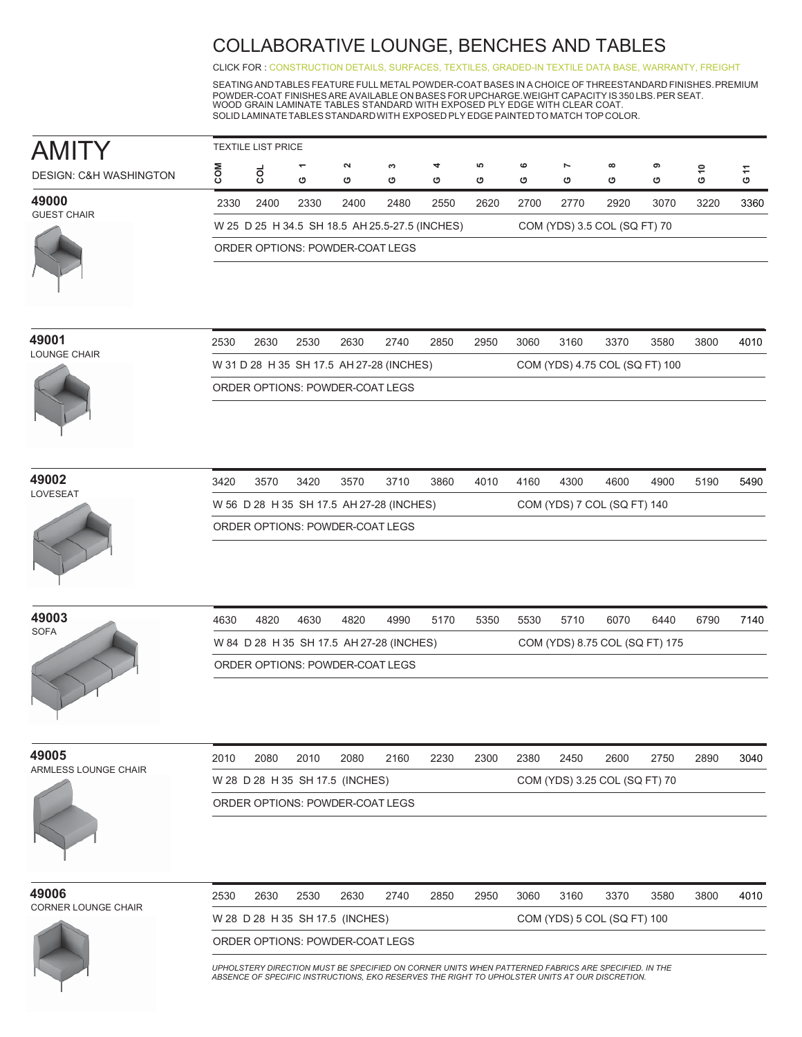CLICK FOR [: CONSTRUCTION DETAILS,](http://www.ekocontract.com/collaborative-seating/amity-collaborative) [SURFACES,](http://www.ekocontract.com/surfaces) [TEXTILES,](http://www.ekocontract.com/fabrics) [GRADED-IN TEXTILE DATA BASE,](http://www.ekocontract.com/resources/surface-materials/surface-materials-database) [WARRANTY, FREIGHT](http://www.ekocontract.com/files/resources/2015_EKO_Terms__Conditions.pdf)

SEATING ANDTABLES FEATURE FULL METAL POWDER-COAT BASES IN A CHOICE OF THREESTANDARD FINISHES.PREMIUM POWDER-COAT FINISHES ARE AVAILABLE ON BASES FOR UPCHARGE.WEIGHT CAPACITY IS 350 LBS. PER SEAT.<br>WOOD GRAIN LAMINATE TABLES STANDARD WITH EXPOSED PLY EDGE WITH CLEAR COAT. SOLID LAMINATETABLESSTANDARDWITH EXPOSED PLY EDGE PAINTEDTO MATCH TOP COLOR.

|                                   | <b>TEXTILE LIST PRICE</b>                                                      |      |                               |                                 |        |        |        |        |                     |               |        |              |        |  |  |
|-----------------------------------|--------------------------------------------------------------------------------|------|-------------------------------|---------------------------------|--------|--------|--------|--------|---------------------|---------------|--------|--------------|--------|--|--|
| <b>DESIGN: C&amp;H WASHINGTON</b> |                                                                                | g    | $\overline{\phantom{0}}$<br>ט | $\sim$<br>ඏ                     | ო<br>ඏ | 4<br>ט | ယ<br>ඏ | ဖ<br>৩ | $\overline{ }$<br>ඏ | $\infty$<br>৩ | െ<br>ඏ | $\circ$<br>ט | Ξ<br>ပ |  |  |
| 49000<br><b>GUEST CHAIR</b>       | 2330                                                                           | 2400 | 2330                          | 2400                            | 2480   | 2550   | 2620   | 2700   | 2770                | 2920          | 3070   | 3220         | 3360   |  |  |
|                                   | W 25 D 25 H 34.5 SH 18.5 AH 25.5-27.5 (INCHES)<br>COM (YDS) 3.5 COL (SQ FT) 70 |      |                               |                                 |        |        |        |        |                     |               |        |              |        |  |  |
|                                   |                                                                                |      |                               | ORDER OPTIONS: POWDER-COAT LEGS |        |        |        |        |                     |               |        |              |        |  |  |

| 49001        |  |
|--------------|--|
| LOUNGE CHAIR |  |



| 2530                                     | 2630 | 2530 | 2630 | 2740 | 2850 | 2950 | 3060 | 3160 | 3370                           | 3580 | 3800 | 4010 |
|------------------------------------------|------|------|------|------|------|------|------|------|--------------------------------|------|------|------|
| W 31 D 28 H 35 SH 17.5 AH 27-28 (INCHES) |      |      |      |      |      |      |      |      | COM (YDS) 4.75 COL (SQ FT) 100 |      |      |      |
| ORDER OPTIONS: POWDER-COAT LEGS          |      |      |      |      |      |      |      |      |                                |      |      |      |

**49002**



| 3420 | 3570 | 3420 | 3570                                     | 3710 | 3860 | 4010 | 4160 | 4300 | 4600                        | 4900 | 5190 | 5490 |
|------|------|------|------------------------------------------|------|------|------|------|------|-----------------------------|------|------|------|
|      |      |      | W 56 D 28 H 35 SH 17.5 AH 27-28 (INCHES) |      |      |      |      |      | COM (YDS) 7 COL (SQ FT) 140 |      |      |      |
|      |      |      | ORDER OPTIONS: POWDER-COAT LEGS          |      |      |      |      |      |                             |      |      |      |



| 4630 | 4820                                     | 4630 | 4820 | 4990 | 5170 | 5350 | 5530 | 5710 | 6070                           | 6440 | 6790 | 7140 |
|------|------------------------------------------|------|------|------|------|------|------|------|--------------------------------|------|------|------|
|      | W 84 D 28 H 35 SH 17.5 AH 27-28 (INCHES) |      |      |      |      |      |      |      | COM (YDS) 8.75 COL (SQ FT) 175 |      |      |      |
|      | ORDER OPTIONS: POWDER-COAT LEGS          |      |      |      |      |      |      |      |                                |      |      |      |

**49005**

| -----                | ∠∪ ≀∖          |
|----------------------|----------------|
| ARMLESS LOUNGE CHAIR |                |
|                      | W <sub>2</sub> |
|                      | <b>ORD</b>     |
|                      |                |

| 2010 | 2080                            | 2010 | 2080                            | 2160 | 2230 | 2300                          | 2380 | 2450 | 2600 | 2750 | 2890 | 3040 |  |
|------|---------------------------------|------|---------------------------------|------|------|-------------------------------|------|------|------|------|------|------|--|
|      |                                 |      | W 28 D 28 H 35 SH 17.5 (INCHES) |      |      | COM (YDS) 3.25 COL (SQ FT) 70 |      |      |      |      |      |      |  |
|      | ORDER OPTIONS: POWDER-COAT LEGS |      |                                 |      |      |                               |      |      |      |      |      |      |  |





2530 2630 2530 2630 2740 2850 2950 3060 3160 3370 3580 3800 4010 W 28 D 28 H 35 SH 17.5 (INCHES) COM (YDS) 5 COL (SQ FT) 100 ORDER OPTIONS: POWDER-COAT LEGS

*UPHOLSTERY DIRECTION MUST BE SPECIFIED ON CORNER UNITS WHEN PATTERNED FABRICS ARE SPECIFIED. IN THE ABSENCE OF SPECIFIC INSTRUCTIONS, EKO RESERVES THE RIGHT TO UPHOLSTER UNITS AT OUR DISCRETION.*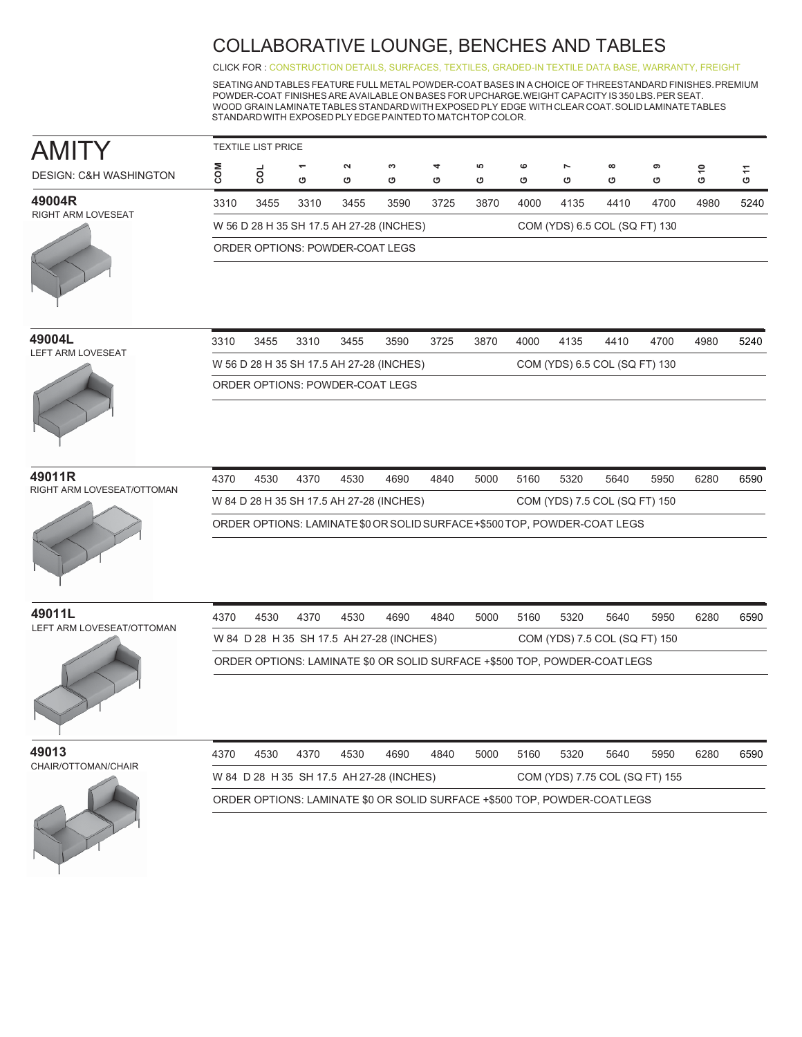CLICK FOR [: CONSTRUCTION DETAILS,](http://www.ekocontract.com/collaborative-seating/amity-collaborative) [SURFACES,](http://www.ekocontract.com/surfaces) [TEXTILES,](http://www.ekocontract.com/fabrics) [GRADED-IN TEXTILE DATA BASE,](http://www.ekocontract.com/resources/surface-materials/surface-materials-database) [WARRANTY, FREIGHT](http://www.ekocontract.com/files/resources/2015_EKO_Terms__Conditions.pdf)

SEATING ANDTABLES FEATURE FULL METAL POWDER-COAT BASES IN A CHOICE OF THREESTANDARD FINISHES.PREMIUM POWDER-COAT FINISHES ARE AVAILABLE ON BASES FOR UPCHARGE.WEIGHT CAPACITY IS 350 LBS.PER SEAT. WOOD GRAIN LAMINATETABLESSTANDARDWITH EXPOSED PLY EDGE WITH CLEAR COAT.SOLID LAMINATETABLES STANDARDWITH EXPOSED PLY EDGE PAINTEDTO MATCHTOP COLOR.

| AMITY                             |      | <b>TEXTILE LIST PRICE</b> |      |                                          |        |        |        |                                            |        |                                                                            |        |      |                                                      |
|-----------------------------------|------|---------------------------|------|------------------------------------------|--------|--------|--------|--------------------------------------------|--------|----------------------------------------------------------------------------|--------|------|------------------------------------------------------|
| <b>DESIGN: C&amp;H WASHINGTON</b> | COM  | g                         | O    | $\boldsymbol{\sim}$<br>O                 | S<br>O | 4<br>O | 5<br>O | $\mathbf  \, \mathbf  \, \mathbf  \,$<br>O | r<br>O | $\infty$<br>O                                                              | თ<br>O | G 10 | $\mathrel{\mathop{\mathsf{r}}\nolimits}$<br>$\sigma$ |
| 49004R                            | 3310 | 3455                      | 3310 | 3455                                     | 3590   | 3725   | 3870   | 4000                                       | 4135   | 4410                                                                       | 4700   | 4980 | 5240                                                 |
| RIGHT ARM LOVESEAT                |      |                           |      | W 56 D 28 H 35 SH 17.5 AH 27-28 (INCHES) |        |        |        |                                            |        | COM (YDS) 6.5 COL (SQ FT) 130                                              |        |      |                                                      |
|                                   |      |                           |      | ORDER OPTIONS: POWDER-COAT LEGS          |        |        |        |                                            |        |                                                                            |        |      |                                                      |
|                                   |      |                           |      |                                          |        |        |        |                                            |        |                                                                            |        |      |                                                      |
| 49004L                            | 3310 | 3455                      | 3310 | 3455                                     | 3590   | 3725   | 3870   | 4000                                       | 4135   | 4410                                                                       | 4700   | 4980 | 5240                                                 |
| LEFT ARM LOVESEAT                 |      |                           |      | W 56 D 28 H 35 SH 17.5 AH 27-28 (INCHES) |        |        |        |                                            |        | COM (YDS) 6.5 COL (SQ FT) 130                                              |        |      |                                                      |
|                                   |      |                           |      | ORDER OPTIONS: POWDER-COAT LEGS          |        |        |        |                                            |        |                                                                            |        |      |                                                      |
| 49011R                            | 4370 | 4530                      | 4370 | 4530                                     | 4690   | 4840   | 5000   | 5160                                       | 5320   | 5640                                                                       | 5950   | 6280 | 6590                                                 |
| RIGHT ARM LOVESEAT/OTTOMAN        |      |                           |      | W 84 D 28 H 35 SH 17.5 AH 27-28 (INCHES) |        |        |        |                                            |        | COM (YDS) 7.5 COL (SQ FT) 150                                              |        |      |                                                      |
|                                   |      |                           |      |                                          |        |        |        |                                            |        | ORDER OPTIONS: LAMINATE \$0 OR SOLID SURFACE + \$500 TOP, POWDER-COAT LEGS |        |      |                                                      |
| 49011L                            | 4370 | 4530                      | 4370 | 4530                                     | 4690   | 4840   | 5000   | 5160                                       | 5320   | 5640                                                                       | 5950   | 6280 | 6590                                                 |
| LEFT ARM LOVESEAT/OTTOMAN         |      |                           |      | W 84 D 28 H 35 SH 17.5 AH 27-28 (INCHES) |        |        |        |                                            |        | COM (YDS) 7.5 COL (SQ FT) 150                                              |        |      |                                                      |
|                                   |      |                           |      |                                          |        |        |        |                                            |        | ORDER OPTIONS: LAMINATE \$0 OR SOLID SURFACE +\$500 TOP, POWDER-COATLEGS   |        |      |                                                      |
| 49013                             | 4370 | 4530                      | 4370 | 4530                                     | 4690   | 4840   | 5000   | 5160                                       | 5320   | 5640                                                                       | 5950   | 6280 | 6590                                                 |
| CHAIR/OTTOMAN/CHAIR               |      |                           |      | W 84 D 28 H 35 SH 17.5 AH 27-28 (INCHES) |        |        |        |                                            |        | COM (YDS) 7.75 COL (SQ FT) 155                                             |        |      |                                                      |
|                                   |      |                           |      |                                          |        |        |        |                                            |        | ORDER OPTIONS: LAMINATE \$0 OR SOLID SURFACE +\$500 TOP, POWDER-COATLEGS   |        |      |                                                      |
|                                   |      |                           |      |                                          |        |        |        |                                            |        |                                                                            |        |      |                                                      |
|                                   |      |                           |      |                                          |        |        |        |                                            |        |                                                                            |        |      |                                                      |
|                                   |      |                           |      |                                          |        |        |        |                                            |        |                                                                            |        |      |                                                      |
|                                   |      |                           |      |                                          |        |        |        |                                            |        |                                                                            |        |      |                                                      |
|                                   |      |                           |      |                                          |        |        |        |                                            |        |                                                                            |        |      |                                                      |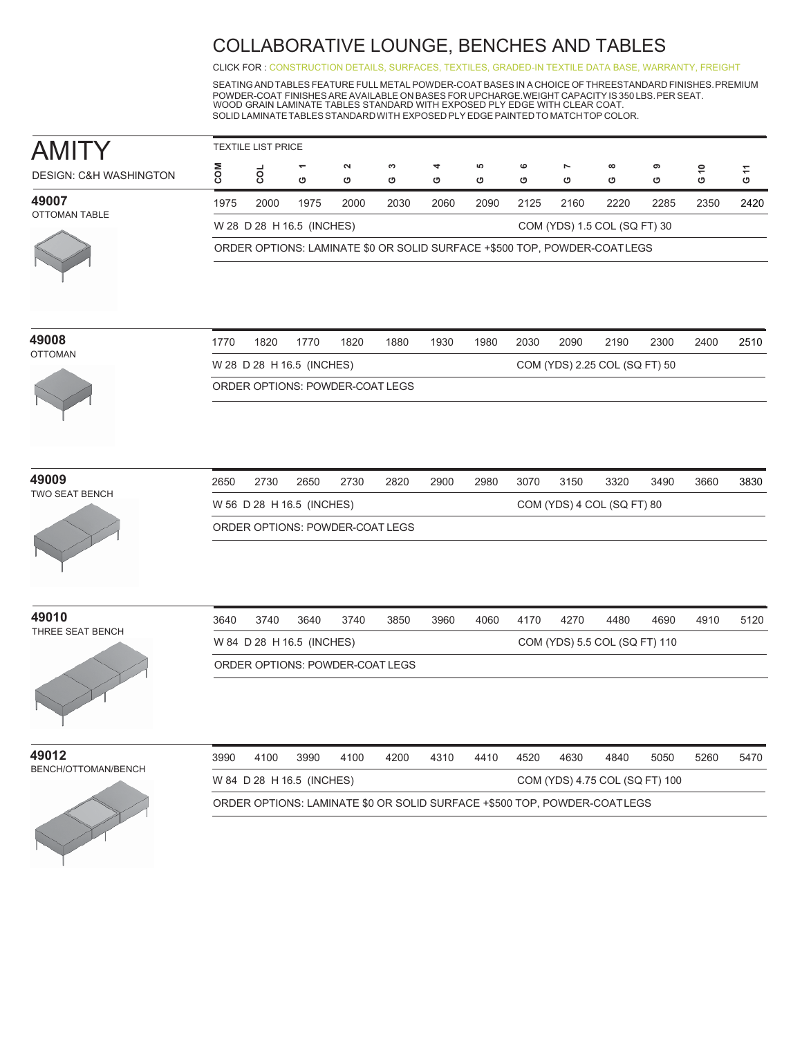CLICK FOR [: CONSTRUCTION DETAILS,](http://www.ekocontract.com/collaborative-seating/amity-collaborative) [SURFACES,](http://www.ekocontract.com/surfaces) [TEXTILES,](http://www.ekocontract.com/fabrics) [GRADED-IN TEXTILE DATA BASE,](http://www.ekocontract.com/resources/surface-materials/surface-materials-database) [WARRANTY, FREIGHT](http://www.ekocontract.com/files/resources/2015_EKO_Terms__Conditions.pdf)

SEATING ANDTABLES FEATURE FULL METAL POWDER-COAT BASES IN A CHOICE OF THREESTANDARD FINISHES.PREMIUM POWDER-COAT FINISHES ARE AVAILABLE ON BASES FOR UPCHARGE.WEIGHT CAPACITY IS 350 LBS.PER SEAT. WOOD GRAIN LAMINATE TABLES STANDARD WITH EXPOSED PLY EDGE WITH CLEAR COAT. SOLID LAMINATETABLESSTANDARDWITH EXPOSED PLY EDGE PAINTEDTO MATCHTOP COLOR.

| <b>AMITY</b>                      |                                                                          | <b>TEXTILE LIST PRICE</b> |                           |                                        |        |        |         |        |        |                                                                          |        |                      |      |  |  |
|-----------------------------------|--------------------------------------------------------------------------|---------------------------|---------------------------|----------------------------------------|--------|--------|---------|--------|--------|--------------------------------------------------------------------------|--------|----------------------|------|--|--|
| <b>DESIGN: C&amp;H WASHINGTON</b> | COM                                                                      | g                         | O                         | $\boldsymbol{\sim}$<br>O               | S<br>O | 4<br>O | မာ<br>O | ဖ<br>O | r<br>O | $\infty$<br>O                                                            | თ<br>O | \$<br>$\ddot{\circ}$ | G 11 |  |  |
| 49007                             | 1975                                                                     | 2000                      | 1975                      | 2000                                   | 2030   | 2060   | 2090    | 2125   | 2160   | 2220                                                                     | 2285   | 2350                 | 2420 |  |  |
| OTTOMAN TABLE                     |                                                                          |                           | W 28 D 28 H 16.5 (INCHES) |                                        |        |        |         |        |        | COM (YDS) 1.5 COL (SQ FT) 30                                             |        |                      |      |  |  |
|                                   | ORDER OPTIONS: LAMINATE \$0 OR SOLID SURFACE +\$500 TOP, POWDER-COATLEGS |                           |                           |                                        |        |        |         |        |        |                                                                          |        |                      |      |  |  |
|                                   |                                                                          |                           |                           |                                        |        |        |         |        |        |                                                                          |        |                      |      |  |  |
| 49008<br><b>OTTOMAN</b>           | 1770                                                                     | 1820                      | 1770                      | 1820                                   | 1880   | 1930   | 1980    | 2030   | 2090   | 2190                                                                     | 2300   | 2400                 | 2510 |  |  |
|                                   |                                                                          |                           | W 28 D 28 H 16.5 (INCHES) |                                        |        |        |         |        |        | COM (YDS) 2.25 COL (SQ FT) 50                                            |        |                      |      |  |  |
|                                   |                                                                          |                           |                           | ORDER OPTIONS: POWDER-COAT LEGS        |        |        |         |        |        |                                                                          |        |                      |      |  |  |
| 49009                             | 2650                                                                     | 2730                      | 2650                      | 2730                                   | 2820   | 2900   | 2980    | 3070   | 3150   | 3320                                                                     | 3490   | 3660                 | 3830 |  |  |
| <b>TWO SEAT BENCH</b>             |                                                                          |                           |                           |                                        |        |        |         |        |        |                                                                          |        |                      |      |  |  |
|                                   |                                                                          |                           | W 56 D 28 H 16.5 (INCHES) | <b>ORDER OPTIONS: POWDER-COAT LEGS</b> |        |        |         |        |        | COM (YDS) 4 COL (SQ FT) 80                                               |        |                      |      |  |  |
|                                   |                                                                          |                           |                           |                                        |        |        |         |        |        |                                                                          |        |                      |      |  |  |
| 49010                             | 3640                                                                     | 3740                      | 3640                      | 3740                                   | 3850   | 3960   | 4060    | 4170   | 4270   | 4480                                                                     | 4690   | 4910                 | 5120 |  |  |
| THREE SEAT BENCH                  |                                                                          |                           | W 84 D 28 H 16.5 (INCHES) |                                        |        |        |         |        |        | COM (YDS) 5.5 COL (SQ FT) 110                                            |        |                      |      |  |  |
|                                   |                                                                          |                           |                           | ORDER OPTIONS: POWDER-COAT LEGS        |        |        |         |        |        |                                                                          |        |                      |      |  |  |
|                                   |                                                                          |                           |                           |                                        |        |        |         |        |        |                                                                          |        |                      |      |  |  |
| 49012                             | 3990                                                                     | 4100                      | 3990                      | 4100                                   | 4200   | 4310   | 4410    | 4520   | 4630   | 4840                                                                     | 5050   | 5260                 | 5470 |  |  |
| BENCH/OTTOMAN/BENCH               |                                                                          |                           | W 84 D 28 H 16.5 (INCHES) |                                        |        |        |         |        |        | COM (YDS) 4.75 COL (SQ FT) 100                                           |        |                      |      |  |  |
|                                   |                                                                          |                           |                           |                                        |        |        |         |        |        | ORDER OPTIONS: LAMINATE \$0 OR SOLID SURFACE +\$500 TOP, POWDER-COATLEGS |        |                      |      |  |  |

| 49008          | 1770 | 1820 | 1770                      | 1820 | 1880                            | 1930 | 1980 | 2030 | 2090 | 2190                          | 2300 | 2400 | 2510 |
|----------------|------|------|---------------------------|------|---------------------------------|------|------|------|------|-------------------------------|------|------|------|
| <b>OTTOMAN</b> |      |      | W 28 D 28 H 16.5 (INCHES) |      |                                 |      |      |      |      | COM (YDS) 2.25 COL (SQ FT) 50 |      |      |      |
|                |      |      |                           |      | ORDER OPTIONS: POWDER-COAT LEGS |      |      |      |      |                               |      |      |      |
|                |      |      |                           |      |                                 |      |      |      |      |                               |      |      |      |

| 49009 |                       |
|-------|-----------------------|
|       | <b>TWO SEAT BENCH</b> |



| 2650 | 2730                            | 2650 | 2730 | 2820 | 2900 | 2980 | 3070 | 3150 | 3320                       | 3490 | 3660 | 3830 |
|------|---------------------------------|------|------|------|------|------|------|------|----------------------------|------|------|------|
|      | W 56 D 28 H 16.5 (INCHES)       |      |      |      |      |      |      |      | COM (YDS) 4 COL (SQ FT) 80 |      |      |      |
|      | ORDER OPTIONS: POWDER-COAT LEGS |      |      |      |      |      |      |      |                            |      |      |      |

**49010** THREE SEAT BENCH

| 3640                            | 3740                      | 3640 | 3740 | 3850 | 3960 | 4060 | 4170 | 4270 | 4480                          | 4690 | 4910 | 5120 |
|---------------------------------|---------------------------|------|------|------|------|------|------|------|-------------------------------|------|------|------|
|                                 | W 84 D 28 H 16.5 (INCHES) |      |      |      |      |      |      |      | COM (YDS) 5.5 COL (SQ FT) 110 |      |      |      |
| ORDER OPTIONS: POWDER-COAT LEGS |                           |      |      |      |      |      |      |      |                               |      |      |      |



| 3990                      | 4100 | 3990 | 4100 | 4200 | 4310 | 4410 | 4520 | 4630 | 4840                                                                     | 5050 | 5260 | 5470 |
|---------------------------|------|------|------|------|------|------|------|------|--------------------------------------------------------------------------|------|------|------|
| W 84 D 28 H 16.5 (INCHES) |      |      |      |      |      |      |      |      | COM (YDS) 4.75 COL (SQ FT) 100                                           |      |      |      |
|                           |      |      |      |      |      |      |      |      | ORDER OPTIONS: LAMINATE \$0 OR SOLID SURFACE +\$500 TOP, POWDER-COATLEGS |      |      |      |